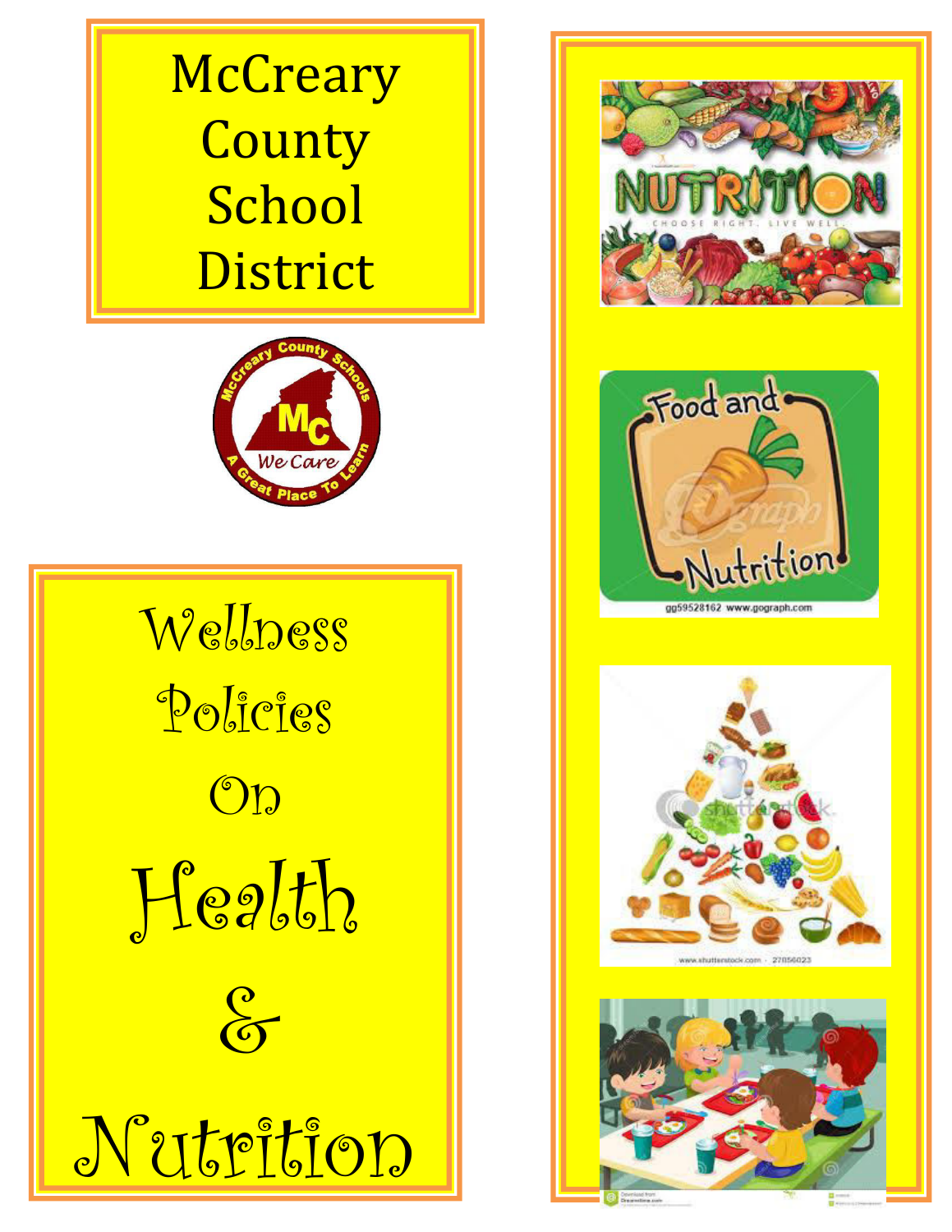# **McCreary County** School District



Wellness Policies  $\bigcirc$ Health  $\frac{\rho}{\sigma}$ Nutrition







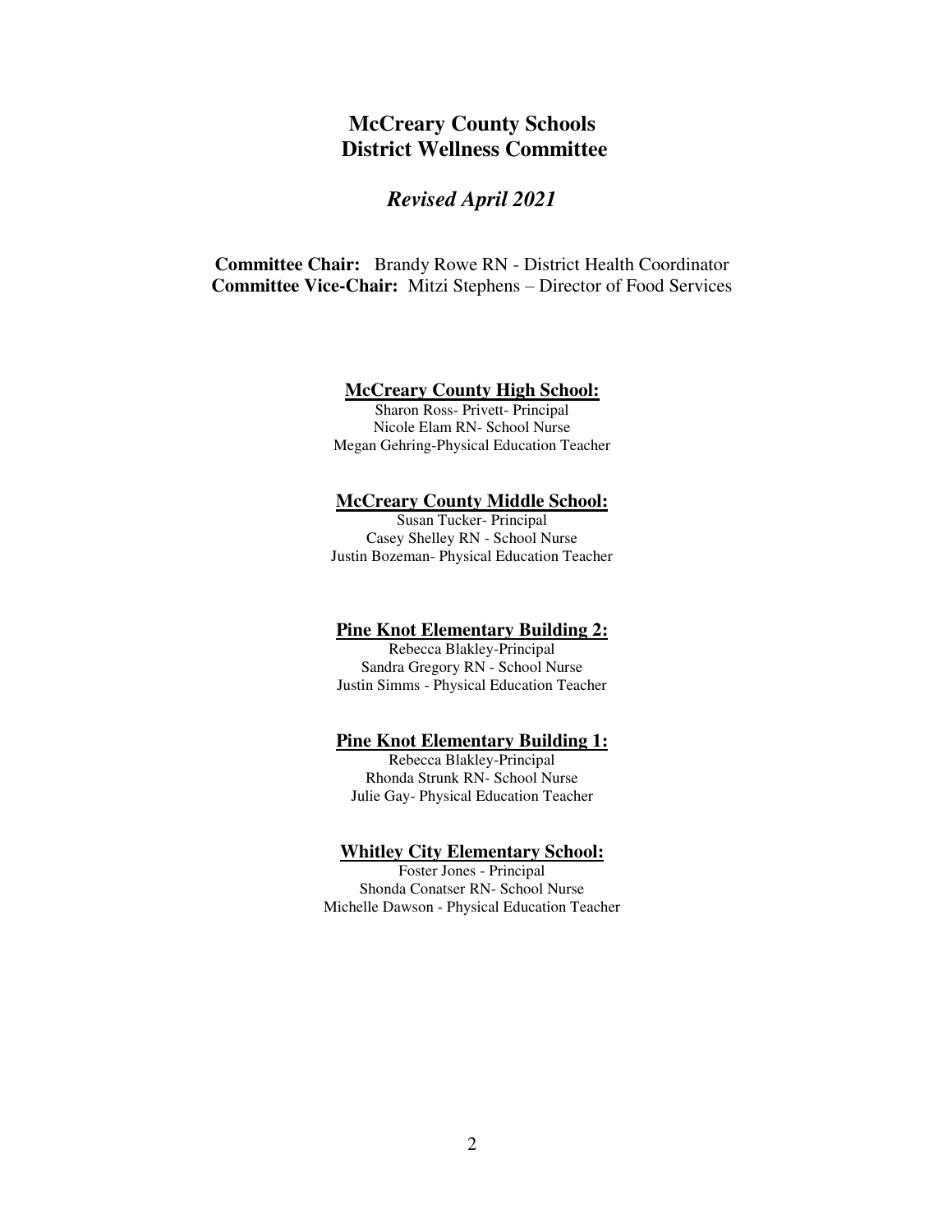# **McCreary County Schools District Wellness Committee**

## *Revised April 2021*

**Committee Chair:** Brandy Rowe RN - District Health Coordinator **Committee Vice-Chair:** Mitzi Stephens – Director of Food Services

#### **McCreary County High School:**

Sharon Ross- Privett- Principal Nicole Elam RN- School Nurse Megan Gehring-Physical Education Teacher

#### **McCreary County Middle School:**

Susan Tucker- Principal Casey Shelley RN - School Nurse Justin Bozeman- Physical Education Teacher

#### **Pine Knot Elementary Building 2:**

Rebecca Blakley-Principal Sandra Gregory RN - School Nurse Justin Simms - Physical Education Teacher

#### **Pine Knot Elementary Building 1:**

Rebecca Blakley-Principal Rhonda Strunk RN- School Nurse Julie Gay- Physical Education Teacher

#### **Whitley City Elementary School:**

Foster Jones - Principal Shonda Conatser RN- School Nurse Michelle Dawson - Physical Education Teacher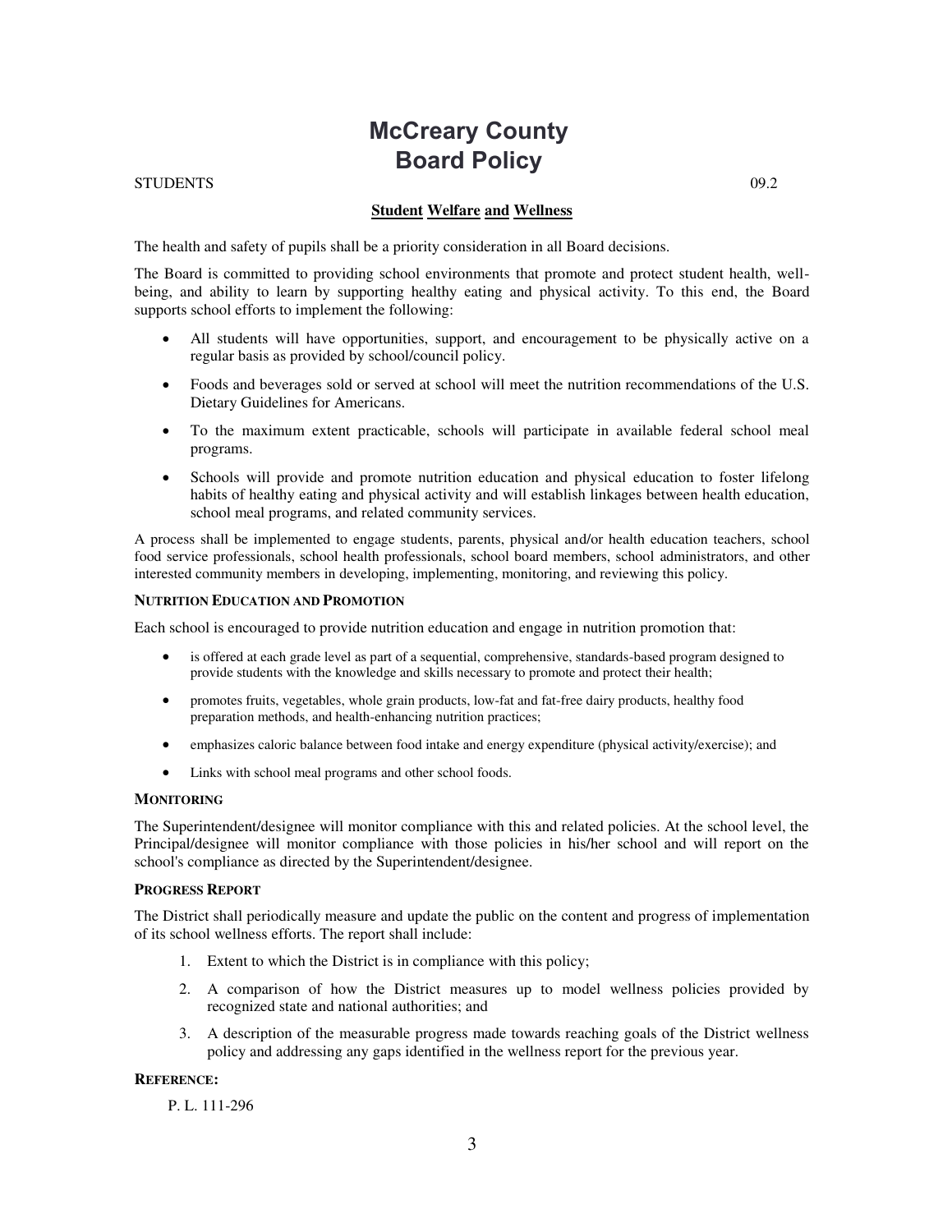# **McCreary County Board Policy**

#### $\text{STUDENTS}$  09.2

#### **Student Welfare and Wellness**

The health and safety of pupils shall be a priority consideration in all Board decisions.

The Board is committed to providing school environments that promote and protect student health, wellbeing, and ability to learn by supporting healthy eating and physical activity. To this end, the Board supports school efforts to implement the following:

- All students will have opportunities, support, and encouragement to be physically active on a regular basis as provided by school/council policy.
- Foods and beverages sold or served at school will meet the nutrition recommendations of the U.S. Dietary Guidelines for Americans.
- To the maximum extent practicable, schools will participate in available federal school meal programs.
- Schools will provide and promote nutrition education and physical education to foster lifelong habits of healthy eating and physical activity and will establish linkages between health education, school meal programs, and related community services.

A process shall be implemented to engage students, parents, physical and/or health education teachers, school food service professionals, school health professionals, school board members, school administrators, and other interested community members in developing, implementing, monitoring, and reviewing this policy.

#### **NUTRITION EDUCATION AND PROMOTION**

Each school is encouraged to provide nutrition education and engage in nutrition promotion that:

- is offered at each grade level as part of a sequential, comprehensive, standards-based program designed to provide students with the knowledge and skills necessary to promote and protect their health;
- promotes fruits, vegetables, whole grain products, low-fat and fat-free dairy products, healthy food preparation methods, and health-enhancing nutrition practices;
- emphasizes caloric balance between food intake and energy expenditure (physical activity/exercise); and
- Links with school meal programs and other school foods.

#### **MONITORING**

The Superintendent/designee will monitor compliance with this and related policies. At the school level, the Principal/designee will monitor compliance with those policies in his/her school and will report on the school's compliance as directed by the Superintendent/designee.

#### **PROGRESS REPORT**

The District shall periodically measure and update the public on the content and progress of implementation of its school wellness efforts. The report shall include:

- 1. Extent to which the District is in compliance with this policy;
- 2. A comparison of how the District measures up to model wellness policies provided by recognized state and national authorities; and
- 3. A description of the measurable progress made towards reaching goals of the District wellness policy and addressing any gaps identified in the wellness report for the previous year.

#### **REFERENCE:**

P. L. 111-296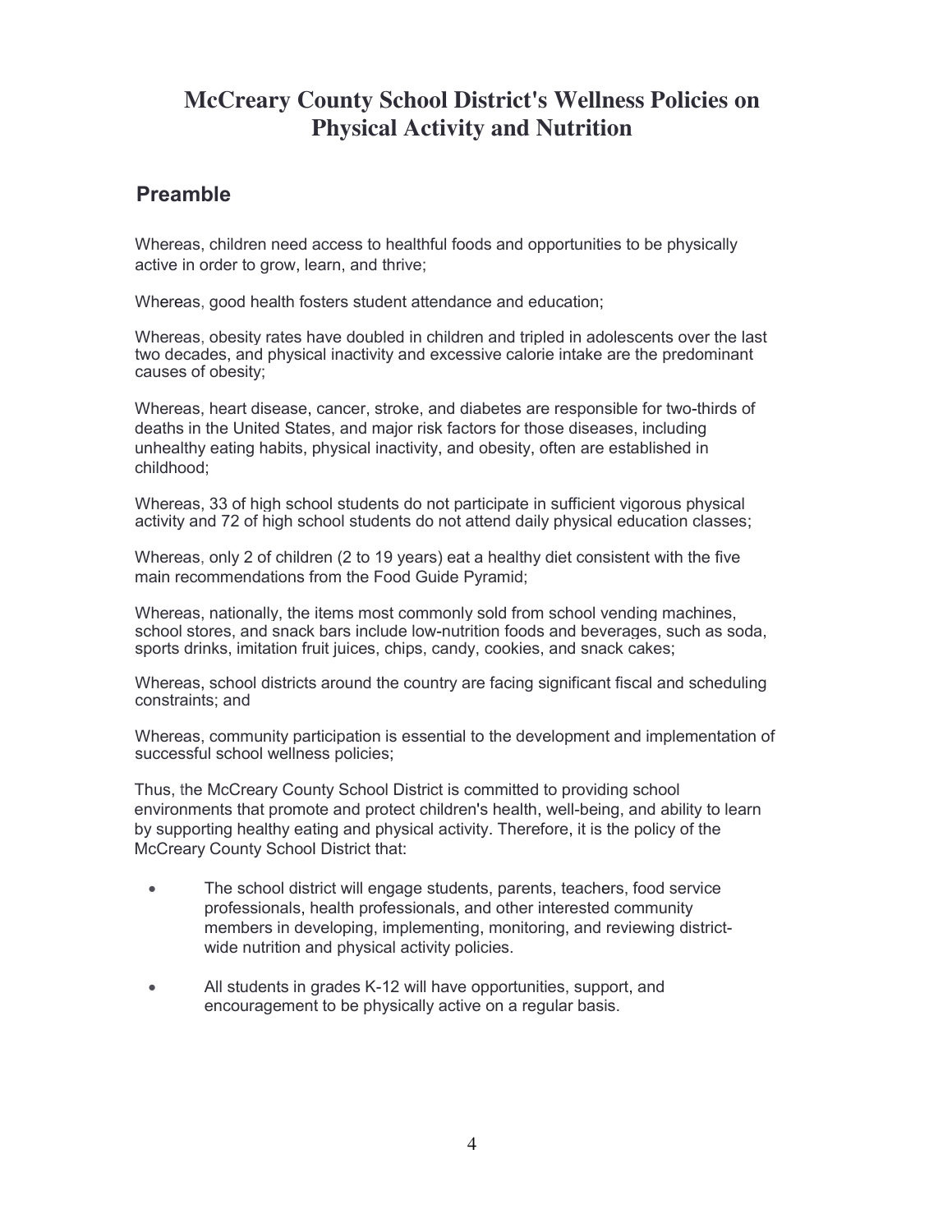# **McCreary County School District's Wellness Policies on Physical Activity and Nutrition**

## **Preamble**

Whereas, children need access to healthful foods and opportunities to be physically active in order to grow, learn, and thrive;

Whereas, good health fosters student attendance and education;

Whereas, obesity rates have doubled in children and tripled in adolescents over the last two decades, and physical inactivity and excessive calorie intake are the predominant causes of obesity;

Whereas, heart disease, cancer, stroke, and diabetes are responsible for two-thirds of deaths in the United States, and major risk factors for those diseases, including unhealthy eating habits, physical inactivity, and obesity, often are established in childhood;

Whereas, 33 of high school students do not participate in sufficient vigorous physical activity and 72 of high school students do not attend daily physical education classes;

Whereas, only 2 of children (2 to 19 years) eat a healthy diet consistent with the five main recommendations from the Food Guide Pyramid;

Whereas, nationally, the items most commonly sold from school vending machines, school stores, and snack bars include low-nutrition foods and beverages, such as soda, sports drinks, imitation fruit juices, chips, candy, cookies, and snack cakes;

Whereas, school districts around the country are facing significant fiscal and scheduling constraints; and

Whereas, community participation is essential to the development and implementation of successful school wellness policies;

Thus, the McCreary County School District is committed to providing school environments that promote and protect children's health, well-being, and ability to learn by supporting healthy eating and physical activity. Therefore, it is the policy of the McCreary County School District that:

- The school district will engage students, parents, teachers, food service professionals, health professionals, and other interested community members in developing, implementing, monitoring, and reviewing districtwide nutrition and physical activity policies.
- All students in grades K-12 will have opportunities, support, and encouragement to be physically active on a regular basis.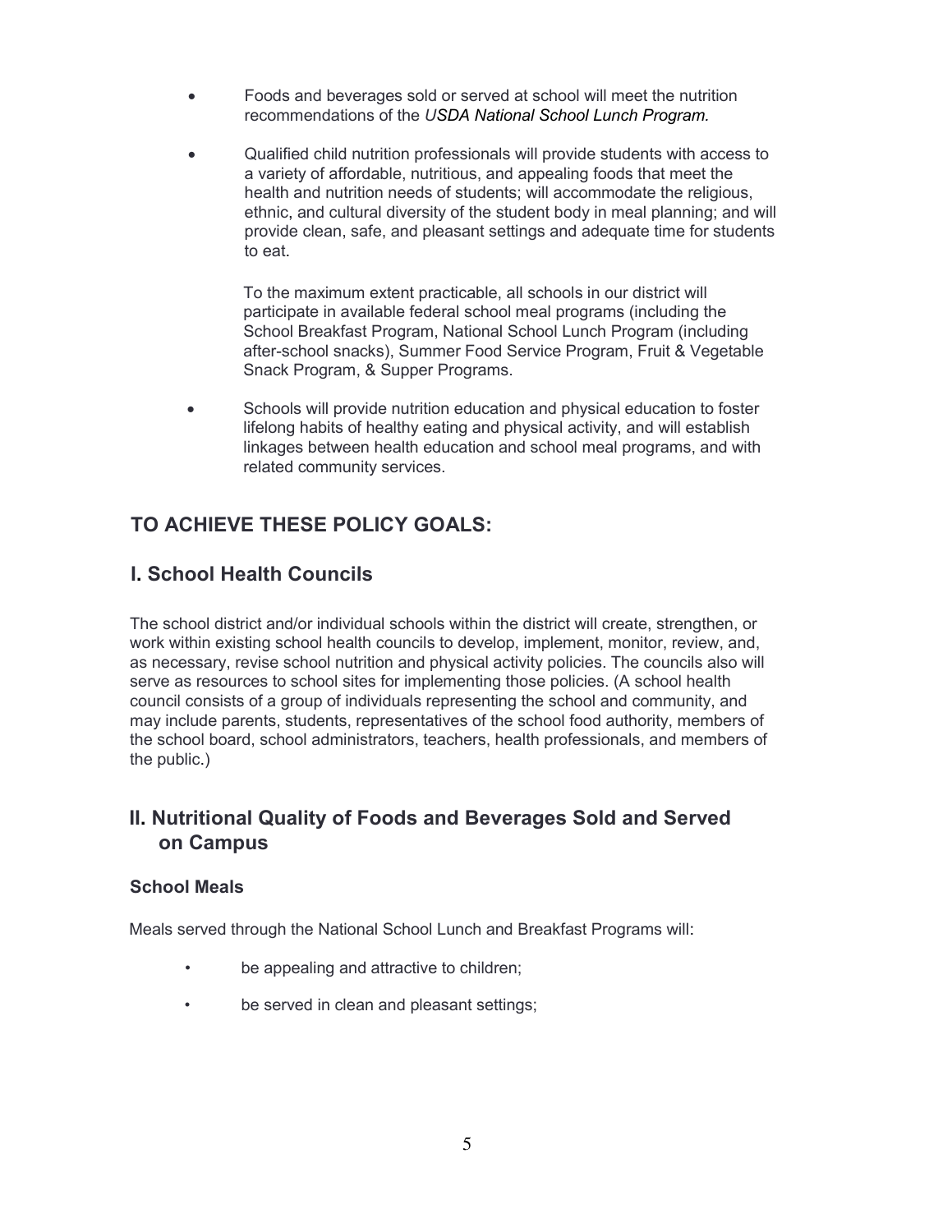- Foods and beverages sold or served at school will meet the nutrition recommendations of the *USDA National School Lunch Program.*
- Qualified child nutrition professionals will provide students with access to a variety of affordable, nutritious, and appealing foods that meet the health and nutrition needs of students; will accommodate the religious, ethnic, and cultural diversity of the student body in meal planning; and will provide clean, safe, and pleasant settings and adequate time for students to eat.

To the maximum extent practicable, all schools in our district will participate in available federal school meal programs (including the School Breakfast Program, National School Lunch Program (including after-school snacks), Summer Food Service Program, Fruit & Vegetable Snack Program, & Supper Programs.

 Schools will provide nutrition education and physical education to foster lifelong habits of healthy eating and physical activity, and will establish linkages between health education and school meal programs, and with related community services.

## **TO ACHIEVE THESE POLICY GOALS:**

## **I. School Health Councils**

The school district and/or individual schools within the district will create, strengthen, or work within existing school health councils to develop, implement, monitor, review, and, as necessary, revise school nutrition and physical activity policies. The councils also will serve as resources to school sites for implementing those policies. (A school health council consists of a group of individuals representing the school and community, and may include parents, students, representatives of the school food authority, members of the school board, school administrators, teachers, health professionals, and members of the public.)

### **II. Nutritional Quality of Foods and Beverages Sold and Served on Campus**

#### **School Meals**

Meals served through the National School Lunch and Breakfast Programs will:

- be appealing and attractive to children;
- be served in clean and pleasant settings;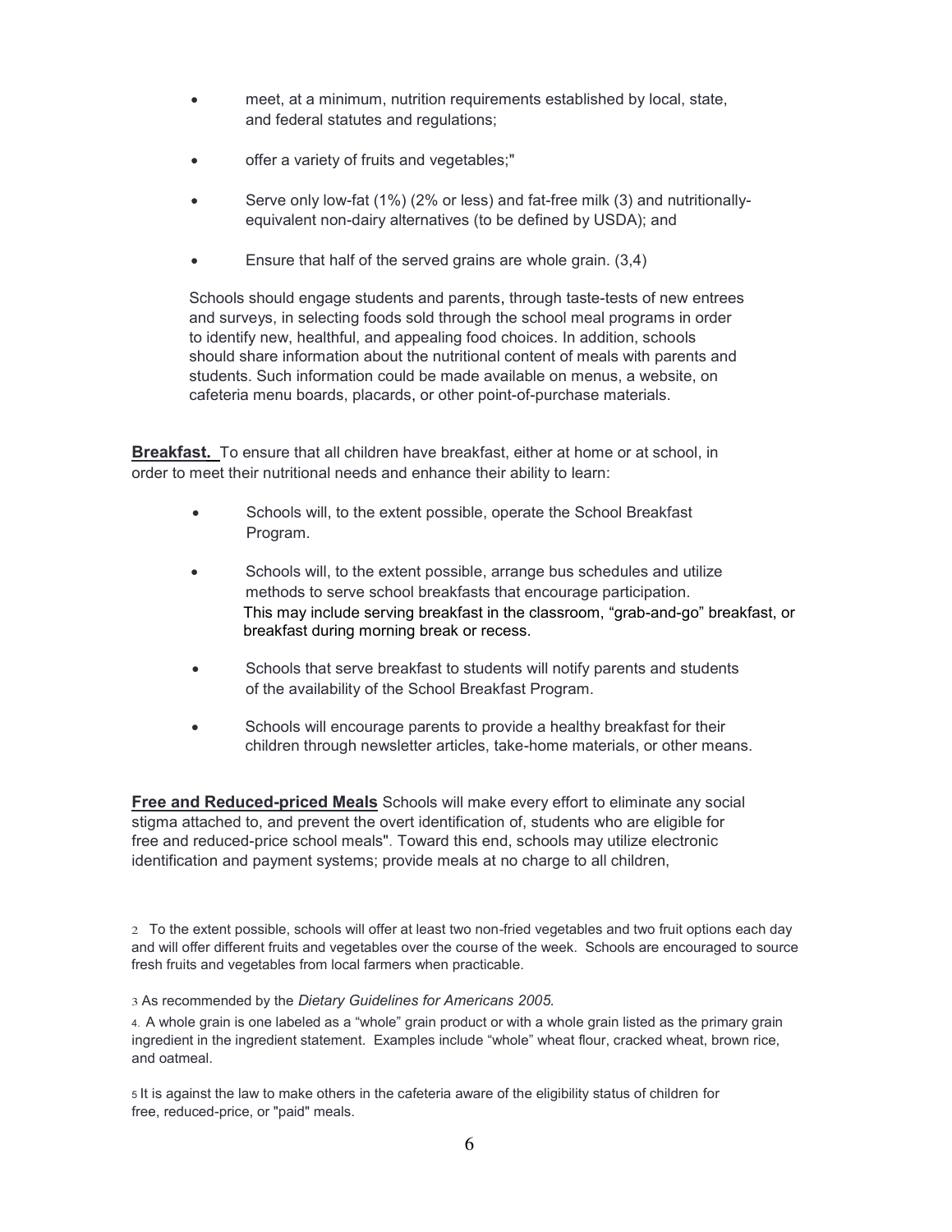- meet, at a minimum, nutrition requirements established by local, state, and federal statutes and regulations;
- offer a variety of fruits and vegetables;"
- Serve only low-fat (1%) (2% or less) and fat-free milk (3) and nutritionallyequivalent non-dairy alternatives (to be defined by USDA); and
- Ensure that half of the served grains are whole grain. (3,4)

Schools should engage students and parents, through taste-tests of new entrees and surveys, in selecting foods sold through the school meal programs in order to identify new, healthful, and appealing food choices. In addition, schools should share information about the nutritional content of meals with parents and students. Such information could be made available on menus, a website, on cafeteria menu boards, placards, or other point-of-purchase materials.

**Breakfast.** To ensure that all children have breakfast, either at home or at school, in order to meet their nutritional needs and enhance their ability to learn:

- Schools will, to the extent possible, operate the School Breakfast Program.
- Schools will, to the extent possible, arrange bus schedules and utilize methods to serve school breakfasts that encourage participation. This may include serving breakfast in the classroom, "grab-and-go" breakfast, or breakfast during morning break or recess.
- Schools that serve breakfast to students will notify parents and students of the availability of the School Breakfast Program.
- Schools will encourage parents to provide a healthy breakfast for their children through newsletter articles, take-home materials, or other means.

**Free and Reduced-priced Meals** Schools will make every effort to eliminate any social stigma attached to, and prevent the overt identification of, students who are eligible for free and reduced-price school meals". Toward this end, schools may utilize electronic identification and payment systems; provide meals at no charge to all children,

2 To the extent possible, schools will offer at least two non-fried vegetables and two fruit options each day and will offer different fruits and vegetables over the course of the week. Schools are encouraged to source fresh fruits and vegetables from local farmers when practicable.

3 As recommended by the *Dietary Guidelines for Americans 2005.* 

4. A whole grain is one labeled as a "whole" grain product or with a whole grain listed as the primary grain ingredient in the ingredient statement. Examples include "whole" wheat flour, cracked wheat, brown rice, and oatmeal.

5 It is against the law to make others in the cafeteria aware of the eligibility status of children for free, reduced-price, or "paid" meals.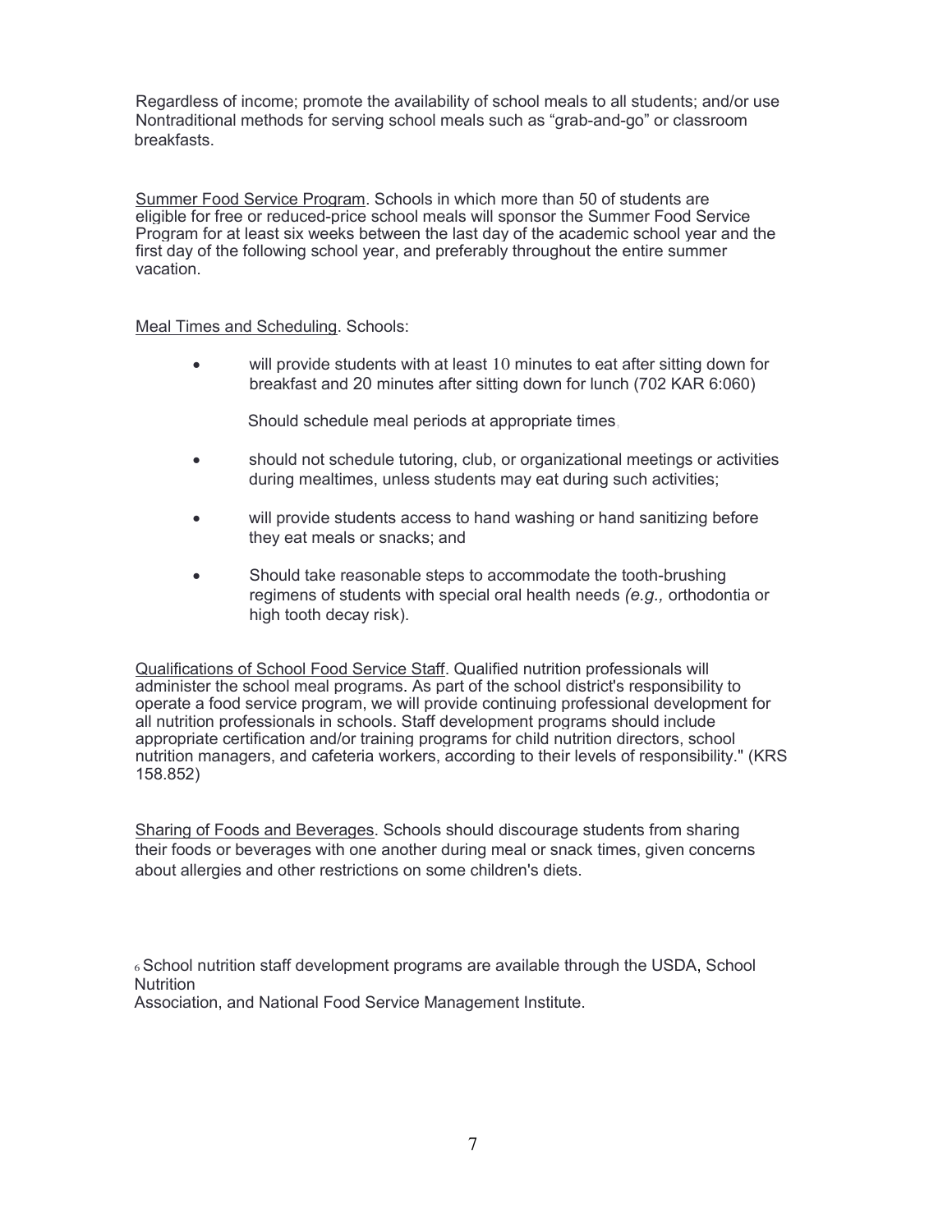Regardless of income; promote the availability of school meals to all students; and/or use Nontraditional methods for serving school meals such as "grab-and-go" or classroom breakfasts.

Summer Food Service Program. Schools in which more than 50 of students are eligible for free or reduced-price school meals will sponsor the Summer Food Service Program for at least six weeks between the last day of the academic school year and the first day of the following school year, and preferably throughout the entire summer vacation.

Meal Times and Scheduling. Schools:

 will provide students with at least 10 minutes to eat after sitting down for breakfast and 20 minutes after sitting down for lunch (702 KAR 6:060)

Should schedule meal periods at appropriate times,

- should not schedule tutoring, club, or organizational meetings or activities during mealtimes, unless students may eat during such activities;
- will provide students access to hand washing or hand sanitizing before they eat meals or snacks; and
- **Should take reasonable steps to accommodate the tooth-brushing** regimens of students with special oral health needs *(e.g.,* orthodontia or high tooth decay risk).

Qualifications of School Food Service Staff. Qualified nutrition professionals will administer the school meal programs. As part of the school district's responsibility to operate a food service program, we will provide continuing professional development for all nutrition professionals in schools. Staff development programs should include appropriate certification and/or training programs for child nutrition directors, school nutrition managers, and cafeteria workers, according to their levels of responsibility." (KRS 158.852)

Sharing of Foods and Beverages. Schools should discourage students from sharing their foods or beverages with one another during meal or snack times, given concerns about allergies and other restrictions on some children's diets.

<sup>6</sup>School nutrition staff development programs are available through the USDA, School **Nutrition** Association, and National Food Service Management Institute.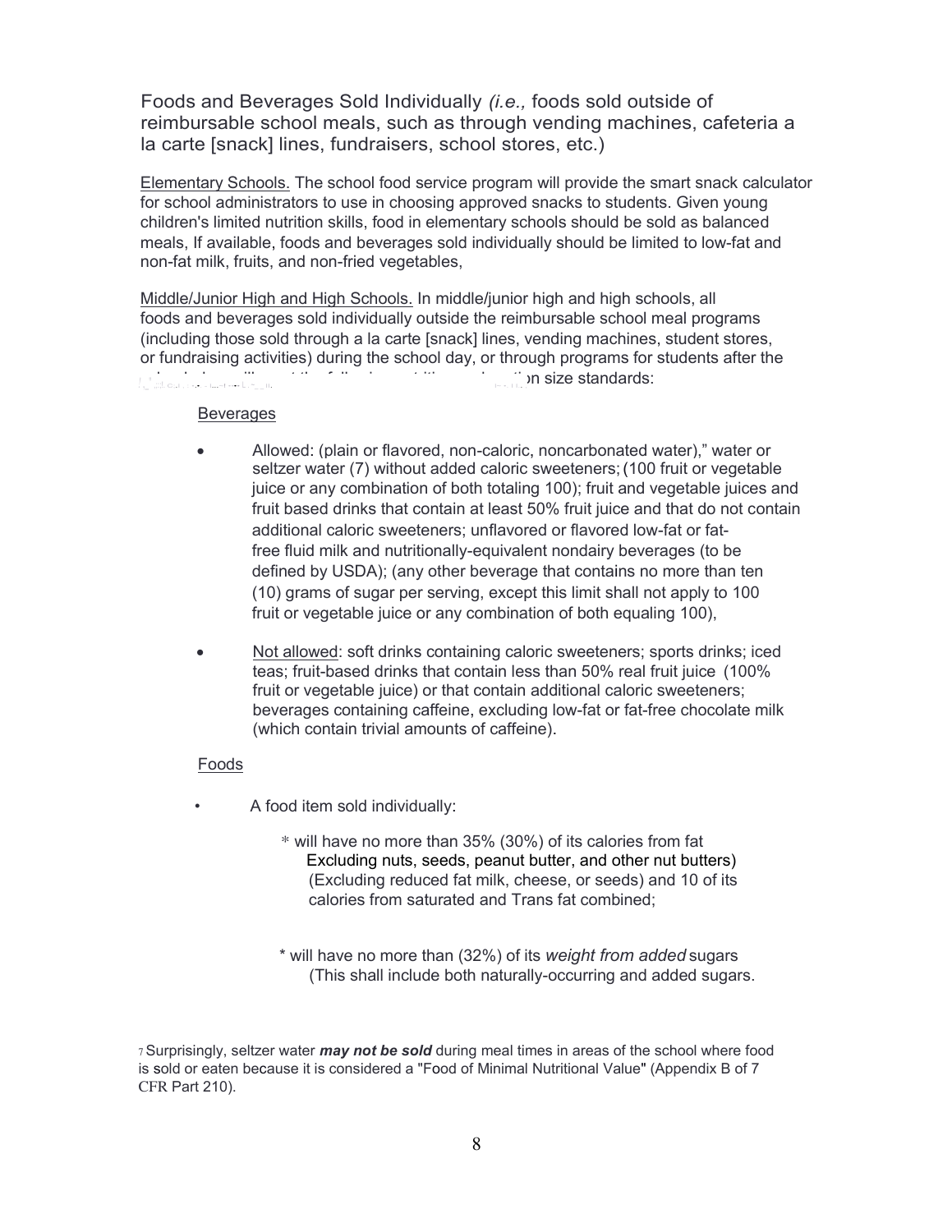Foods and Beverages Sold Individually *(i.e.,* foods sold outside of reimbursable school meals, such as through vending machines, cafeteria a la carte [snack] lines, fundraisers, school stores, etc.)

Elementary Schools. The school food service program will provide the smart snack calculator for school administrators to use in choosing approved snacks to students. Given young children's limited nutrition skills, food in elementary schools should be sold as balanced meals, If available, foods and beverages sold individually should be limited to low-fat and non-fat milk, fruits, and non-fried vegetables,

Middle/Junior High and High Schools. In middle/junior high and high schools, all foods and beverages sold individually outside the reimbursable school meal programs (including those sold through a la carte [snack] lines, vending machines, student stores, or fundraising activities) during the school day, or through programs for students after the school day, will meet the following nutrition and portion size standards: *!* ,\_" ,;:;!. C;.I , : •.•. - I...~! •••• L . ~\_ \_ II. l~ •. I I.. ,

#### Beverages

- Allowed: (plain or flavored, non-caloric, noncarbonated water)," water or seltzer water (7) without added caloric sweeteners;(100 fruit or vegetable juice or any combination of both totaling 100); fruit and vegetable juices and fruit based drinks that contain at least 50% fruit juice and that do not contain additional caloric sweeteners; unflavored or flavored low-fat or fatfree fluid milk and nutritionally-equivalent nondairy beverages (to be defined by USDA); (any other beverage that contains no more than ten (10) grams of sugar per serving, except this limit shall not apply to 100 fruit or vegetable juice or any combination of both equaling 100),
- Not allowed: soft drinks containing caloric sweeteners; sports drinks; iced teas; fruit-based drinks that contain less than 50% real fruit juice (100% fruit or vegetable juice) or that contain additional caloric sweeteners; beverages containing caffeine, excluding low-fat or fat-free chocolate milk (which contain trivial amounts of caffeine).

#### Foods

- A food item sold individually:
	- \* will have no more than 35% (30%) of its calories from fat Excluding nuts, seeds, peanut butter, and other nut butters) (Excluding reduced fat milk, cheese, or seeds) and 10 of its calories from saturated and Trans fat combined;
	- \* will have no more than (32%) of its *weight from added* sugars (This shall include both naturally-occurring and added sugars.

<sup>7</sup>Surprisingly, seltzer water *may not be sold* during meal times in areas of the school where food is sold or eaten because it is considered a "Food of Minimal Nutritional Value" (Appendix B of 7 CFR Part 210).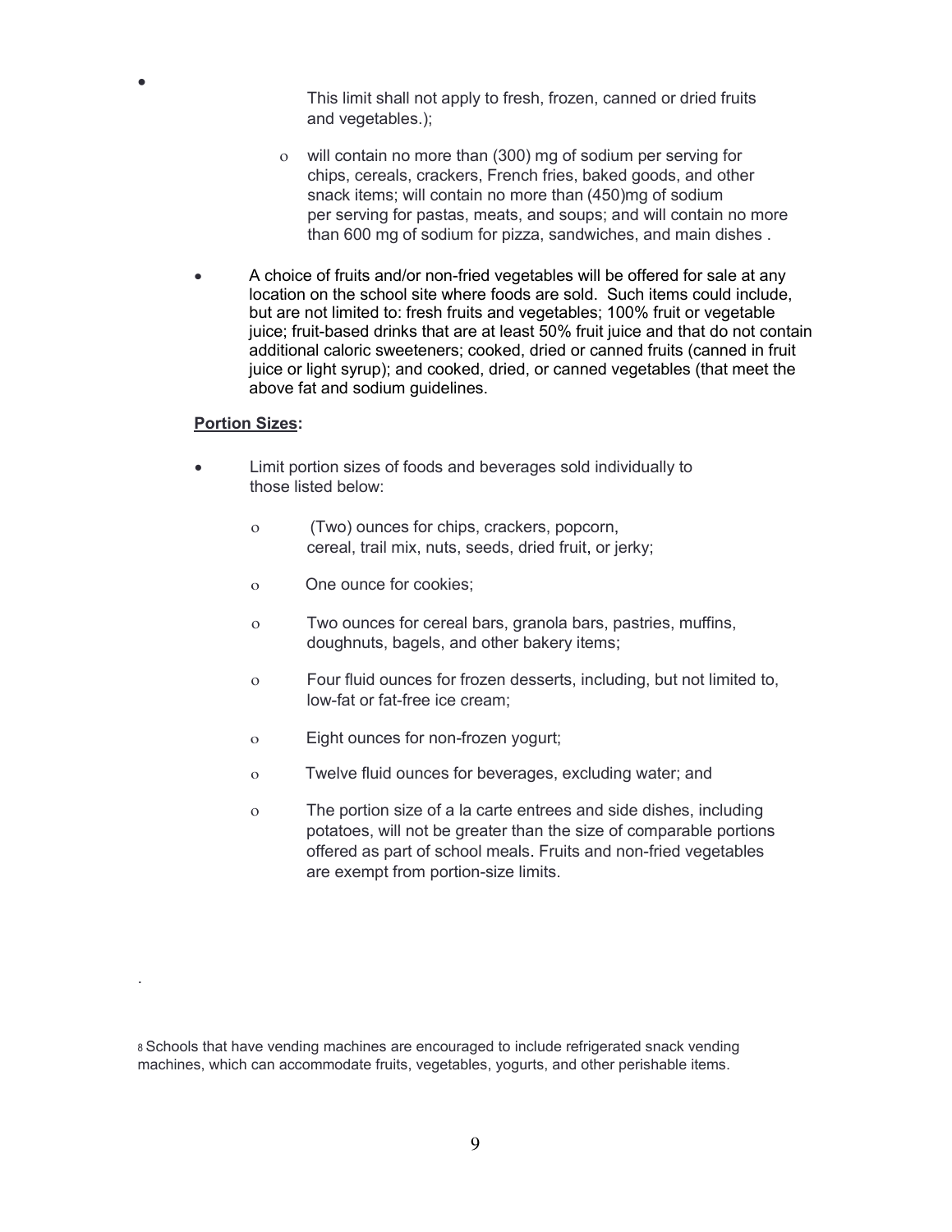This limit shall not apply to fresh, frozen, canned or dried fruits and vegetables.);

- will contain no more than (300) mg of sodium per serving for chips, cereals, crackers, French fries, baked goods, and other snack items; will contain no more than (450)mg of sodium per serving for pastas, meats, and soups; and will contain no more than 600 mg of sodium for pizza, sandwiches, and main dishes .
- A choice of fruits and/or non-fried vegetables will be offered for sale at any location on the school site where foods are sold. Such items could include, but are not limited to: fresh fruits and vegetables; 100% fruit or vegetable juice; fruit-based drinks that are at least 50% fruit juice and that do not contain additional caloric sweeteners; cooked, dried or canned fruits (canned in fruit juice or light syrup); and cooked, dried, or canned vegetables (that meet the above fat and sodium guidelines.

#### **Portion Sizes:**

 $\bullet$ 

.

- Limit portion sizes of foods and beverages sold individually to those listed below:
	- (Two) ounces for chips, crackers, popcorn, cereal, trail mix, nuts, seeds, dried fruit, or jerky;
	- o One ounce for cookies;
	- Two ounces for cereal bars, granola bars, pastries, muffins, doughnuts, bagels, and other bakery items;
	- Four fluid ounces for frozen desserts, including, but not limited to, low-fat or fat-free ice cream;
	- o Eight ounces for non-frozen yogurt;
	- o Twelve fluid ounces for beverages, excluding water; and
	- The portion size of a la carte entrees and side dishes, including potatoes, will not be greater than the size of comparable portions offered as part of school meals. Fruits and non-fried vegetables are exempt from portion-size limits.

<sup>8</sup>Schools that have vending machines are encouraged to include refrigerated snack vending machines, which can accommodate fruits, vegetables, yogurts, and other perishable items.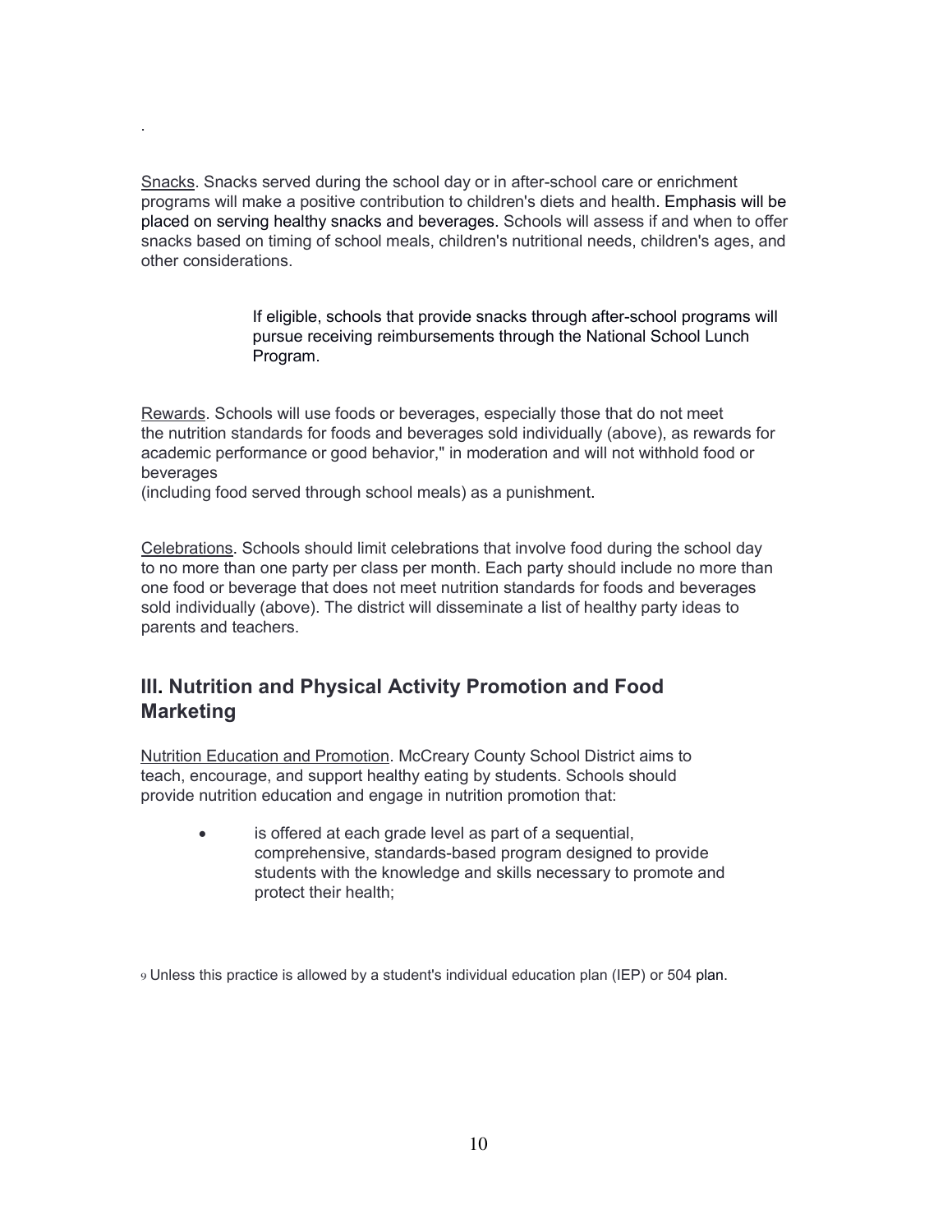Snacks. Snacks served during the school day or in after-school care or enrichment programs will make a positive contribution to children's diets and health. Emphasis will be placed on serving healthy snacks and beverages. Schools will assess if and when to offer snacks based on timing of school meals, children's nutritional needs, children's ages, and other considerations.

> If eligible, schools that provide snacks through after-school programs will pursue receiving reimbursements through the National School Lunch Program.

Rewards. Schools will use foods or beverages, especially those that do not meet the nutrition standards for foods and beverages sold individually (above), as rewards for academic performance or good behavior," in moderation and will not withhold food or beverages

(including food served through school meals) as a punishment.

.

Celebrations. Schools should limit celebrations that involve food during the school day to no more than one party per class per month. Each party should include no more than one food or beverage that does not meet nutrition standards for foods and beverages sold individually (above). The district will disseminate a list of healthy party ideas to parents and teachers.

## **III. Nutrition and Physical Activity Promotion and Food Marketing**

Nutrition Education and Promotion. McCreary County School District aims to teach, encourage, and support healthy eating by students. Schools should provide nutrition education and engage in nutrition promotion that:

> is offered at each grade level as part of a sequential, comprehensive, standards-based program designed to provide students with the knowledge and skills necessary to promote and protect their health;

9 Unless this practice is allowed by a student's individual education plan (IEP) or 504 plan.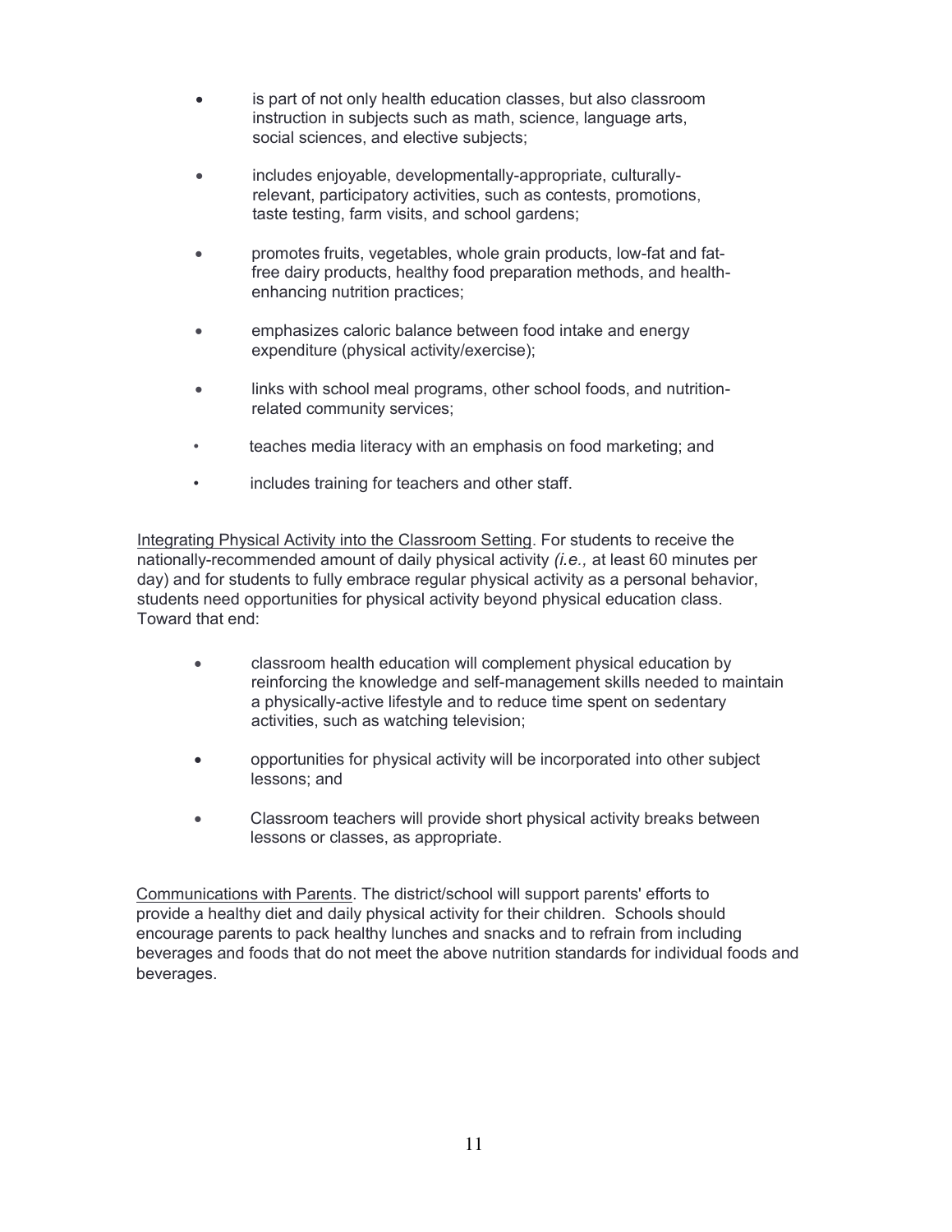- is part of not only health education classes, but also classroom instruction in subjects such as math, science, language arts, social sciences, and elective subjects;
- includes enjoyable, developmentally-appropriate, culturallyrelevant, participatory activities, such as contests, promotions, taste testing, farm visits, and school gardens;
- promotes fruits, vegetables, whole grain products, low-fat and fatfree dairy products, healthy food preparation methods, and healthenhancing nutrition practices;
- emphasizes caloric balance between food intake and energy expenditure (physical activity/exercise);
- links with school meal programs, other school foods, and nutritionrelated community services;
- teaches media literacy with an emphasis on food marketing; and
- includes training for teachers and other staff.

Integrating Physical Activity into the Classroom Setting. For students to receive the nationally-recommended amount of daily physical activity *(i.e.,* at least 60 minutes per day) and for students to fully embrace regular physical activity as a personal behavior, students need opportunities for physical activity beyond physical education class. Toward that end:

- classroom health education will complement physical education by reinforcing the knowledge and self-management skills needed to maintain a physically-active lifestyle and to reduce time spent on sedentary activities, such as watching television;
- opportunities for physical activity will be incorporated into other subject lessons; and
- Classroom teachers will provide short physical activity breaks between lessons or classes, as appropriate.

Communications with Parents. The district/school will support parents' efforts to provide a healthy diet and daily physical activity for their children. Schools should encourage parents to pack healthy lunches and snacks and to refrain from including beverages and foods that do not meet the above nutrition standards for individual foods and beverages.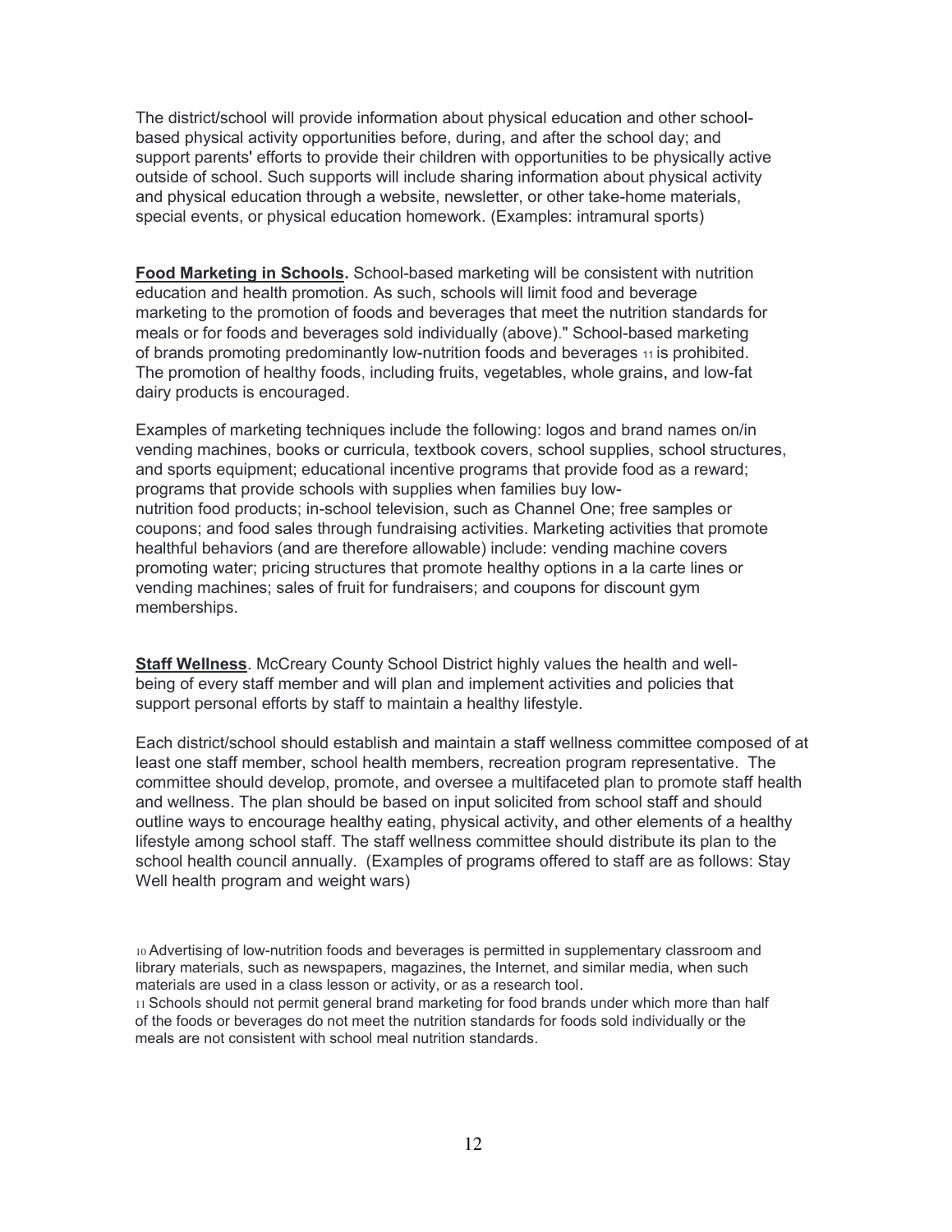The district/school will provide information about physical education and other schoolbased physical activity opportunities before, during, and after the school day; and support parents' efforts to provide their children with opportunities to be physically active outside of school. Such supports will include sharing information about physical activity and physical education through a website, newsletter, or other take-home materials, special events, or physical education homework. (Examples: intramural sports)

**Food Marketing in Schools.** School-based marketing will be consistent with nutrition education and health promotion. As such, schools will limit food and beverage marketing to the promotion of foods and beverages that meet the nutrition standards for meals or for foods and beverages sold individually (above)." School-based marketing of brands promoting predominantly low-nutrition foods and beverages 11 is prohibited. The promotion of healthy foods, including fruits, vegetables, whole grains, and low-fat dairy products is encouraged.

Examples of marketing techniques include the following: logos and brand names on/in vending machines, books or curricula, textbook covers, school supplies, school structures, and sports equipment; educational incentive programs that provide food as a reward; programs that provide schools with supplies when families buy lownutrition food products; in-school television, such as Channel One; free samples or coupons; and food sales through fundraising activities. Marketing activities that promote healthful behaviors (and are therefore allowable) include: vending machine covers promoting water; pricing structures that promote healthy options in a la carte lines or vending machines; sales of fruit for fundraisers; and coupons for discount gym memberships.

**Staff Wellness**. McCreary County School District highly values the health and wellbeing of every staff member and will plan and implement activities and policies that support personal efforts by staff to maintain a healthy lifestyle.

Each district/school should establish and maintain a staff wellness committee composed of at least one staff member, school health members, recreation program representative. The committee should develop, promote, and oversee a multifaceted plan to promote staff health and wellness. The plan should be based on input solicited from school staff and should outline ways to encourage healthy eating, physical activity, and other elements of a healthy lifestyle among school staff. The staff wellness committee should distribute its plan to the school health council annually. (Examples of programs offered to staff are as follows: Stay Well health program and weight wars)

10 Advertising of low-nutrition foods and beverages is permitted in supplementary classroom and library materials, such as newspapers, magazines, the Internet, and similar media, when such materials are used in a class lesson or activity, or as a research tool.

11 Schools should not permit general brand marketing for food brands under which more than half of the foods or beverages do not meet the nutrition standards for foods sold individually or the meals are not consistent with school meal nutrition standards.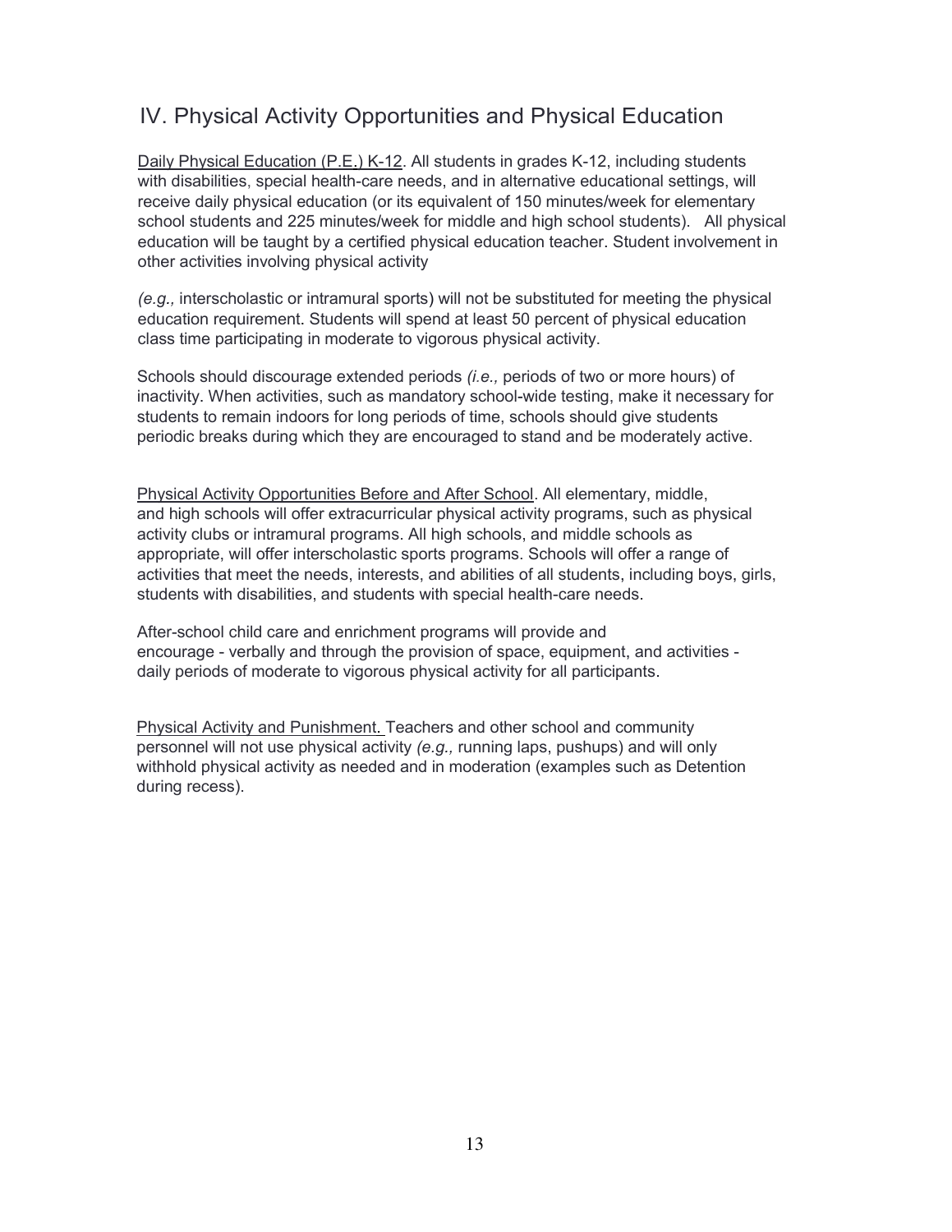# IV. Physical Activity Opportunities and Physical Education

Daily Physical Education (P.E.) K-12. All students in grades K-12, including students with disabilities, special health-care needs, and in alternative educational settings, will receive daily physical education (or its equivalent of 150 minutes/week for elementary school students and 225 minutes/week for middle and high school students). All physical education will be taught by a certified physical education teacher. Student involvement in other activities involving physical activity

*(e.g.,* interscholastic or intramural sports) will not be substituted for meeting the physical education requirement. Students will spend at least 50 percent of physical education class time participating in moderate to vigorous physical activity.

Schools should discourage extended periods *(i.e.,* periods of two or more hours) of inactivity. When activities, such as mandatory school-wide testing, make it necessary for students to remain indoors for long periods of time, schools should give students periodic breaks during which they are encouraged to stand and be moderately active.

Physical Activity Opportunities Before and After School. All elementary, middle, and high schools will offer extracurricular physical activity programs, such as physical activity clubs or intramural programs. All high schools, and middle schools as appropriate, will offer interscholastic sports programs. Schools will offer a range of activities that meet the needs, interests, and abilities of all students, including boys, girls, students with disabilities, and students with special health-care needs.

After-school child care and enrichment programs will provide and encourage - verbally and through the provision of space, equipment, and activities daily periods of moderate to vigorous physical activity for all participants.

Physical Activity and Punishment. Teachers and other school and community personnel will not use physical activity *(e.g.,* running laps, pushups) and will only withhold physical activity as needed and in moderation (examples such as Detention during recess).